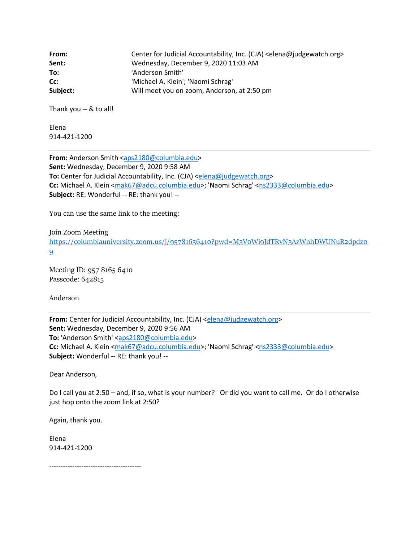| From:    | Center for Judicial Accountability, Inc. (CJA) <elena@judgewatch.org></elena@judgewatch.org> |
|----------|----------------------------------------------------------------------------------------------|
| Sent:    | Wednesday, December 9, 2020 11:03 AM                                                         |
| To:      | 'Anderson Smith'                                                                             |
| Cc:      | 'Michael A. Klein'; 'Naomi Schrag'                                                           |
| Subject: | Will meet you on zoom, Anderson, at 2:50 pm                                                  |

Thank you -- & to all!

Elena 914-421-1200

**From:** Anderson Smith [<aps2180@columbia.edu>](mailto:aps2180@columbia.edu) **Sent:** Wednesday, December 9, 2020 9:58 AM **To:** Center for Judicial Accountability, Inc. (CJA) [<elena@judgewatch.org>](mailto:elena@judgewatch.org) **Cc:** Michael A. Klein [<mak67@adcu.columbia.edu>](mailto:mak67@adcu.columbia.edu); 'Naomi Schrag' [<ns2333@columbia.edu>](mailto:ns2333@columbia.edu) **Subject:** RE: Wonderful -- RE: thank you! --

You can use the same link to the meeting:

Join Zoom Meeting

[https://columbiauniversity.zoom.us/j/95781656410?pwd=M3V0Wi9JdTRvN3AzWnhDWUNuR2dpdz0](https://columbiauniversity.zoom.us/j/95781656410?pwd=M3V0Wi9JdTRvN3AzWnhDWUNuR2dpdz09)  $\overline{9}$  $\overline{9}$  $\overline{9}$ 

Meeting ID: 957 8165 6410 Passcode: 642815

Anderson

**From:** Center for Judicial Accountability, Inc. (CJA) [<elena@judgewatch.org>](mailto:elena@judgewatch.org) **Sent:** Wednesday, December 9, 2020 9:56 AM **To:** 'Anderson Smith' [<aps2180@columbia.edu>](mailto:aps2180@columbia.edu) **Cc:** Michael A. Klein [<mak67@adcu.columbia.edu>](mailto:mak67@adcu.columbia.edu); 'Naomi Schrag' [<ns2333@columbia.edu>](mailto:ns2333@columbia.edu) **Subject:** Wonderful -- RE: thank you! --

Dear Anderson,

Do I call you at 2:50 – and, if so, what is your number? Or did you want to call me. Or do I otherwise just hop onto the zoom link at 2:50?

Again, thank you.

Elena 914-421-1200

----------------------------------------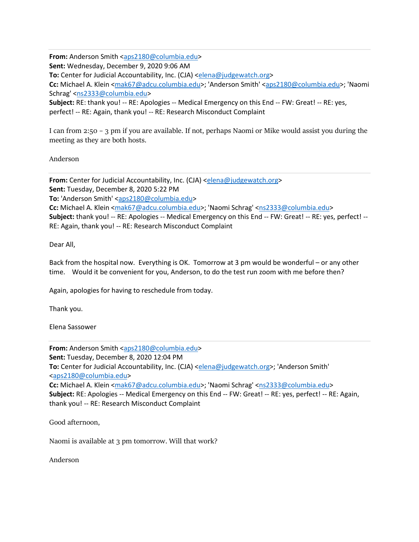**From:** Anderson Smith [<aps2180@columbia.edu>](mailto:aps2180@columbia.edu)

**Sent:** Wednesday, December 9, 2020 9:06 AM

**To:** Center for Judicial Accountability, Inc. (CJA) [<elena@judgewatch.org>](mailto:elena@judgewatch.org)

Cc: Michael A. Klein [<mak67@adcu.columbia.edu>](mailto:mak67@adcu.columbia.edu); 'Anderson Smith' [<aps2180@columbia.edu>](mailto:aps2180@columbia.edu); 'Naomi Schrag' [<ns2333@columbia.edu>](mailto:ns2333@columbia.edu)

**Subject:** RE: thank you! -- RE: Apologies -- Medical Emergency on this End -- FW: Great! -- RE: yes, perfect! -- RE: Again, thank you! -- RE: Research Misconduct Complaint

I can from 2:50 – 3 pm if you are available. If not, perhaps Naomi or Mike would assist you during the meeting as they are both hosts.

Anderson

**From:** Center for Judicial Accountability, Inc. (CJA) [<elena@judgewatch.org>](mailto:elena@judgewatch.org) **Sent:** Tuesday, December 8, 2020 5:22 PM **To:** 'Anderson Smith' [<aps2180@columbia.edu>](mailto:aps2180@columbia.edu) **Cc:** Michael A. Klein [<mak67@adcu.columbia.edu>](mailto:mak67@adcu.columbia.edu); 'Naomi Schrag' [<ns2333@columbia.edu>](mailto:ns2333@columbia.edu) **Subject:** thank you! -- RE: Apologies -- Medical Emergency on this End -- FW: Great! -- RE: yes, perfect! -- RE: Again, thank you! -- RE: Research Misconduct Complaint

Dear All,

Back from the hospital now. Everything is OK. Tomorrow at 3 pm would be wonderful – or any other time. Would it be convenient for you, Anderson, to do the test run zoom with me before then?

Again, apologies for having to reschedule from today.

Thank you.

Elena Sassower

**From:** Anderson Smith [<aps2180@columbia.edu>](mailto:aps2180@columbia.edu) **Sent:** Tuesday, December 8, 2020 12:04 PM To: Center for Judicial Accountability, Inc. (CJA) [<elena@judgewatch.org>](mailto:elena@judgewatch.org); 'Anderson Smith' [<aps2180@columbia.edu>](mailto:aps2180@columbia.edu) **Cc:** Michael A. Klein [<mak67@adcu.columbia.edu>](mailto:mak67@adcu.columbia.edu); 'Naomi Schrag' [<ns2333@columbia.edu>](mailto:ns2333@columbia.edu) **Subject:** RE: Apologies -- Medical Emergency on this End -- FW: Great! -- RE: yes, perfect! -- RE: Again, thank you! -- RE: Research Misconduct Complaint

Good afternoon,

Naomi is available at 3 pm tomorrow. Will that work?

Anderson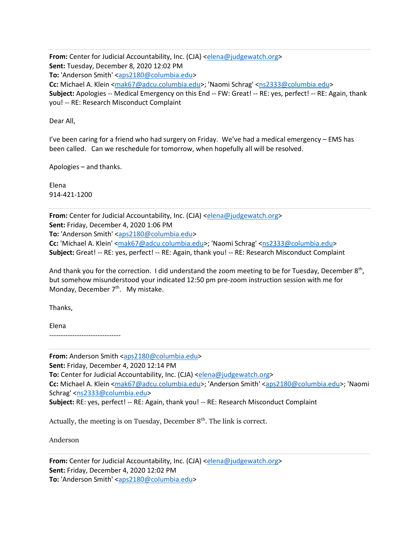**From:** Center for Judicial Accountability, Inc. (CJA) [<elena@judgewatch.org>](mailto:elena@judgewatch.org) **Sent:** Tuesday, December 8, 2020 12:02 PM To: 'Anderson Smith' [<aps2180@columbia.edu>](mailto:aps2180@columbia.edu) **Cc:** Michael A. Klein [<mak67@adcu.columbia.edu>](mailto:mak67@adcu.columbia.edu); 'Naomi Schrag' [<ns2333@columbia.edu>](mailto:ns2333@columbia.edu) **Subject:** Apologies -- Medical Emergency on this End -- FW: Great! -- RE: yes, perfect! -- RE: Again, thank you! -- RE: Research Misconduct Complaint

Dear All,

I've been caring for a friend who had surgery on Friday. We've had a medical emergency – EMS has been called. Can we reschedule for tomorrow, when hopefully all will be resolved.

Apologies – and thanks.

Elena 914-421-1200

**From:** Center for Judicial Accountability, Inc. (CJA) [<elena@judgewatch.org>](mailto:elena@judgewatch.org) **Sent:** Friday, December 4, 2020 1:06 PM **To:** 'Anderson Smith' [<aps2180@columbia.edu>](mailto:aps2180@columbia.edu) **Cc:** 'Michael A. Klein' [<mak67@adcu.columbia.edu>](mailto:mak67@adcu.columbia.edu); 'Naomi Schrag' [<ns2333@columbia.edu>](mailto:ns2333@columbia.edu) **Subject:** Great! -- RE: yes, perfect! -- RE: Again, thank you! -- RE: Research Misconduct Complaint

And thank you for the correction. I did understand the zoom meeting to be for Tuesday, December 8<sup>th</sup>, but somehow misunderstood your indicated 12:50 pm pre-zoom instruction session with me for Monday, December 7<sup>th</sup>. My mistake.

Thanks,

Elena -------------------------------

**From:** Anderson Smith [<aps2180@columbia.edu>](mailto:aps2180@columbia.edu) **Sent:** Friday, December 4, 2020 12:14 PM **To:** Center for Judicial Accountability, Inc. (CJA) [<elena@judgewatch.org>](mailto:elena@judgewatch.org) Cc: Michael A. Klein [<mak67@adcu.columbia.edu>](mailto:mak67@adcu.columbia.edu); 'Anderson Smith' [<aps2180@columbia.edu>](mailto:aps2180@columbia.edu); 'Naomi Schrag' [<ns2333@columbia.edu>](mailto:ns2333@columbia.edu) **Subject:** RE: yes, perfect! -- RE: Again, thank you! -- RE: Research Misconduct Complaint

Actually, the meeting is on Tuesday, December  $8<sup>th</sup>$ . The link is correct.

Anderson

**From:** Center for Judicial Accountability, Inc. (CJA) [<elena@judgewatch.org>](mailto:elena@judgewatch.org) **Sent:** Friday, December 4, 2020 12:02 PM **To:** 'Anderson Smith' [<aps2180@columbia.edu>](mailto:aps2180@columbia.edu)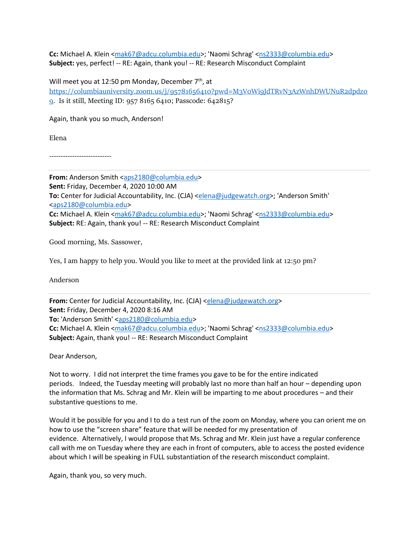**Cc:** Michael A. Klein [<mak67@adcu.columbia.edu>](mailto:mak67@adcu.columbia.edu); 'Naomi Schrag' [<ns2333@columbia.edu>](mailto:ns2333@columbia.edu) **Subject:** yes, perfect! -- RE: Again, thank you! -- RE: Research Misconduct Complaint

Will meet you at 12:50 pm Monday, December  $7<sup>th</sup>$ , at [https://columbiauniversity.zoom.us/j/95781656410?pwd=M3V0Wi9JdTRvN3AzWnhDWUNuR2dpdz0](https://columbiauniversity.zoom.us/j/95781656410?pwd=M3V0Wi9JdTRvN3AzWnhDWUNuR2dpdz09) [9.](https://columbiauniversity.zoom.us/j/95781656410?pwd=M3V0Wi9JdTRvN3AzWnhDWUNuR2dpdz09) Is it still, Meeting ID: 957 8165 6410; Passcode: 642815?

Again, thank you so much, Anderson!

Elena

---------------------------

From: Anderson Smith [<aps2180@columbia.edu>](mailto:aps2180@columbia.edu) **Sent:** Friday, December 4, 2020 10:00 AM **To:** Center for Judicial Accountability, Inc. (CJA) [<elena@judgewatch.org>](mailto:elena@judgewatch.org); 'Anderson Smith' [<aps2180@columbia.edu>](mailto:aps2180@columbia.edu) Cc: Michael A. Klein [<mak67@adcu.columbia.edu>](mailto:mak67@adcu.columbia.edu); 'Naomi Schrag' [<ns2333@columbia.edu>](mailto:ns2333@columbia.edu) **Subject:** RE: Again, thank you! -- RE: Research Misconduct Complaint

Good morning, Ms. Sassower,

Yes, I am happy to help you. Would you like to meet at the provided link at 12:50 pm?

Anderson

**From:** Center for Judicial Accountability, Inc. (CJA) [<elena@judgewatch.org>](mailto:elena@judgewatch.org) **Sent:** Friday, December 4, 2020 8:16 AM To: 'Anderson Smith' [<aps2180@columbia.edu>](mailto:aps2180@columbia.edu) **Cc:** Michael A. Klein [<mak67@adcu.columbia.edu>](mailto:mak67@adcu.columbia.edu); 'Naomi Schrag' [<ns2333@columbia.edu>](mailto:ns2333@columbia.edu) **Subject:** Again, thank you! -- RE: Research Misconduct Complaint

Dear Anderson,

Not to worry. I did not interpret the time frames you gave to be for the entire indicated periods. Indeed, the Tuesday meeting will probably last no more than half an hour – depending upon the information that Ms. Schrag and Mr. Klein will be imparting to me about procedures – and their substantive questions to me.

Would it be possible for you and I to do a test run of the zoom on Monday, where you can orient me on how to use the "screen share" feature that will be needed for my presentation of evidence. Alternatively, I would propose that Ms. Schrag and Mr. Klein just have a regular conference call with me on Tuesday where they are each in front of computers, able to access the posted evidence about which I will be speaking in FULL substantiation of the research misconduct complaint.

Again, thank you, so very much.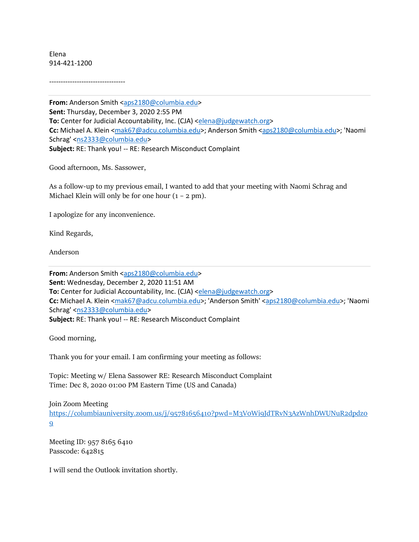Elena 914-421-1200

---------------------------------

From: Anderson Smith [<aps2180@columbia.edu>](mailto:aps2180@columbia.edu) **Sent:** Thursday, December 3, 2020 2:55 PM **To:** Center for Judicial Accountability, Inc. (CJA) [<elena@judgewatch.org>](mailto:elena@judgewatch.org) **Cc:** Michael A. Klein [<mak67@adcu.columbia.edu>](mailto:mak67@adcu.columbia.edu); Anderson Smith [<aps2180@columbia.edu>](mailto:aps2180@columbia.edu); 'Naomi Schrag' [<ns2333@columbia.edu>](mailto:ns2333@columbia.edu) **Subject:** RE: Thank you! -- RE: Research Misconduct Complaint

Good afternoon, Ms. Sassower,

As a follow-up to my previous email, I wanted to add that your meeting with Naomi Schrag and Michael Klein will only be for one hour  $(1 - 2 pm)$ .

I apologize for any inconvenience.

Kind Regards,

Anderson

From: Anderson Smith [<aps2180@columbia.edu>](mailto:aps2180@columbia.edu) **Sent:** Wednesday, December 2, 2020 11:51 AM **To:** Center for Judicial Accountability, Inc. (CJA) [<elena@judgewatch.org>](mailto:elena@judgewatch.org) Cc: Michael A. Klein [<mak67@adcu.columbia.edu>](mailto:mak67@adcu.columbia.edu); 'Anderson Smith' [<aps2180@columbia.edu>](mailto:aps2180@columbia.edu); 'Naomi Schrag' [<ns2333@columbia.edu>](mailto:ns2333@columbia.edu) **Subject:** RE: Thank you! -- RE: Research Misconduct Complaint

Good morning,

Thank you for your email. I am confirming your meeting as follows:

Topic: Meeting w/ Elena Sassower RE: Research Misconduct Complaint Time: Dec 8, 2020 01:00 PM Eastern Time (US and Canada)

Join Zoom Meeting

[https://columbiauniversity.zoom.us/j/95781656410?pwd=M3V0Wi9JdTRvN3AzWnhDWUNuR2dpdz0](https://columbiauniversity.zoom.us/j/95781656410?pwd=M3V0Wi9JdTRvN3AzWnhDWUNuR2dpdz09)  $\mathbf{Q}$ 

Meeting ID: 957 8165 6410 Passcode: 642815

I will send the Outlook invitation shortly.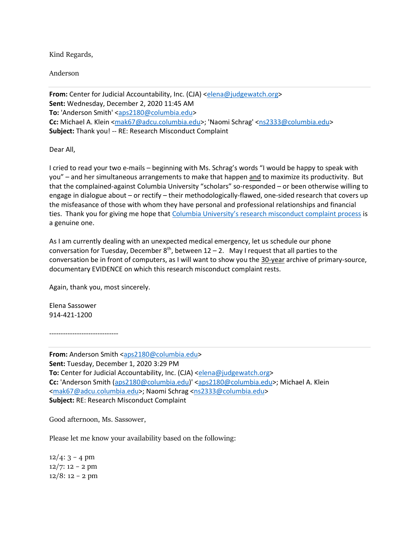Kind Regards,

Anderson

**From:** Center for Judicial Accountability, Inc. (CJA) [<elena@judgewatch.org>](mailto:elena@judgewatch.org) **Sent:** Wednesday, December 2, 2020 11:45 AM To: 'Anderson Smith' [<aps2180@columbia.edu>](mailto:aps2180@columbia.edu) **Cc:** Michael A. Klein [<mak67@adcu.columbia.edu>](mailto:mak67@adcu.columbia.edu); 'Naomi Schrag' [<ns2333@columbia.edu>](mailto:ns2333@columbia.edu) **Subject:** Thank you! -- RE: Research Misconduct Complaint

Dear All,

I cried to read your two e-mails – beginning with Ms. Schrag's words "I would be happy to speak with you" – and her simultaneous arrangements to make that happen and to maximize its productivity. But that the complained-against Columbia University "scholars" so-responded – or been otherwise willing to engage in dialogue about – or rectify – their methodologically-flawed, one-sided research that covers up the misfeasance of those with whom they have personal and professional relationships and financial ties. Thank you for giving me hope that [Columbia University's research misconduct complaint process](https://research.columbia.edu/sites/default/files/content/EVPR/Policy_on_Misconduct_in_Research.pdf) is a genuine one.

As I am currently dealing with an unexpected medical emergency, let us schedule our phone conversation for Tuesday, December  $8<sup>th</sup>$ , between 12 – 2. May I request that all parties to the conversation be in front of computers, as I will want to show you the 30-year archive of primary-source, documentary EVIDENCE on which this research misconduct complaint rests.

Again, thank you, most sincerely.

Elena Sassower 914-421-1200

------------------------------

**From:** Anderson Smith [<aps2180@columbia.edu>](mailto:aps2180@columbia.edu) **Sent:** Tuesday, December 1, 2020 3:29 PM **To:** Center for Judicial Accountability, Inc. (CJA) [<elena@judgewatch.org>](mailto:elena@judgewatch.org) **Cc:** 'Anderson Smith [\(aps2180@columbia.edu\)](mailto:aps2180@columbia.edu)' [<aps2180@columbia.edu>](mailto:aps2180@columbia.edu); Michael A. Klein [<mak67@adcu.columbia.edu>](mailto:mak67@adcu.columbia.edu); Naomi Schrag [<ns2333@columbia.edu>](mailto:ns2333@columbia.edu) **Subject:** RE: Research Misconduct Complaint

Good afternoon, Ms. Sassower,

Please let me know your availability based on the following:

 $12/4$ : 3 – 4 pm 12/7: 12 – 2 pm  $12/8$ : 12 – 2 pm